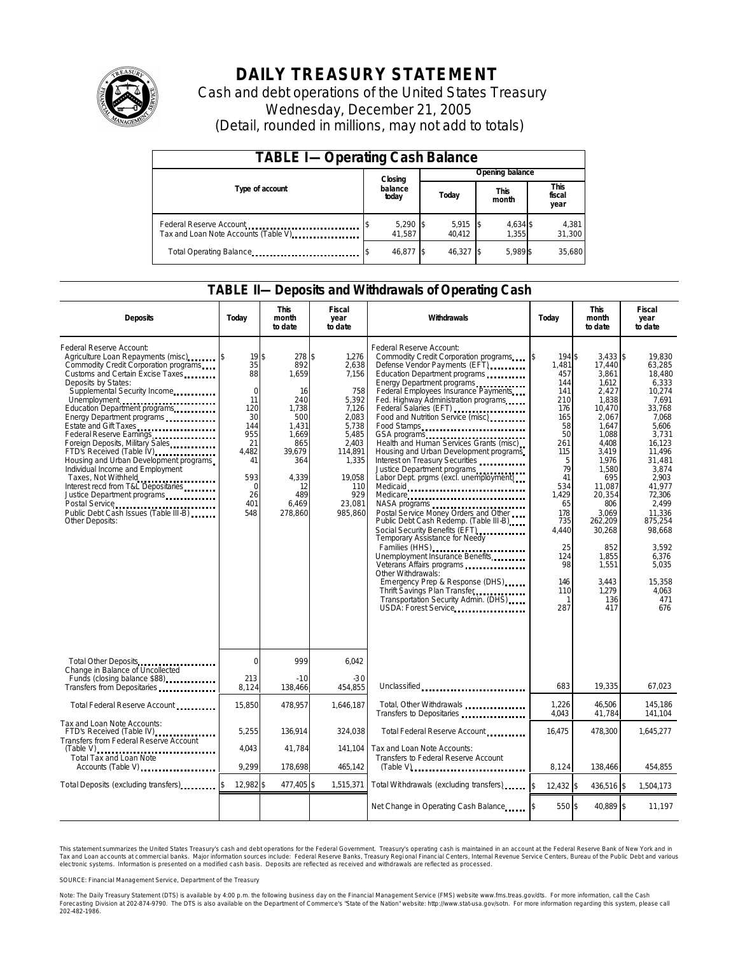

# **DAILY TREASURY STATEMENT**

Cash and debt operations of the United States Treasury Wednesday, December 21, 2005 (Detail, rounded in millions, may not add to totals)

| <b>TABLE I-Operating Cash Balance</b>                            |         |                      |  |                 |  |                      |  |                        |
|------------------------------------------------------------------|---------|----------------------|--|-----------------|--|----------------------|--|------------------------|
|                                                                  | Closing |                      |  | Opening balance |  |                      |  |                        |
| Type of account                                                  |         | balance<br>today     |  | Today           |  | <b>This</b><br>month |  | This<br>fiscal<br>year |
| Federal Reserve Account<br>Tax and Loan Note Accounts (Table V). |         | $5,290$ \$<br>41.587 |  | 5,915<br>40.412 |  | 4,634 \$<br>1.355    |  | 4,381<br>31,300        |
| Total Operating Balance                                          |         | 46,877 \$            |  | 46.327 \$       |  | 5.989 \$             |  | 35,680                 |

#### **TABLE II—Deposits and Withdrawals of Operating Cash**

| <b>Deposits</b>                                                                                                                                                                                                                                                                                                                                                                                                                                                                                                                                                                                       | Today                                                                                                                       | <b>This</b><br>month<br>to date                                                                                                         | <b>Fiscal</b><br>year<br>to date                                                                                                                      | Withdrawals                                                                                                                                                                                                                                                                                                                                                                                                                                                                                                                                                                                                                                                                                                                                                                                                                                                                                                            | Today                                                                                                                                                                                     | <b>This</b><br>month<br>to date                                                                                                                                                                                                                            | <b>Fiscal</b><br>year<br>to date                                                                                                                                                                                                                                    |
|-------------------------------------------------------------------------------------------------------------------------------------------------------------------------------------------------------------------------------------------------------------------------------------------------------------------------------------------------------------------------------------------------------------------------------------------------------------------------------------------------------------------------------------------------------------------------------------------------------|-----------------------------------------------------------------------------------------------------------------------------|-----------------------------------------------------------------------------------------------------------------------------------------|-------------------------------------------------------------------------------------------------------------------------------------------------------|------------------------------------------------------------------------------------------------------------------------------------------------------------------------------------------------------------------------------------------------------------------------------------------------------------------------------------------------------------------------------------------------------------------------------------------------------------------------------------------------------------------------------------------------------------------------------------------------------------------------------------------------------------------------------------------------------------------------------------------------------------------------------------------------------------------------------------------------------------------------------------------------------------------------|-------------------------------------------------------------------------------------------------------------------------------------------------------------------------------------------|------------------------------------------------------------------------------------------------------------------------------------------------------------------------------------------------------------------------------------------------------------|---------------------------------------------------------------------------------------------------------------------------------------------------------------------------------------------------------------------------------------------------------------------|
| Federal Reserve Account:<br>Agriculture Loan Repayments (misc)<br>Commodity Credit Corporation programs<br>Customs and Certain Excise Taxes<br>Deposits by States:<br>Supplemental Security Income<br>Education Department programs<br>Energy Department programs<br>Federal Reserve Earnings<br>Foreign Deposits, Military Sales<br>FTD's Received (Table IV)<br>Housing and Urban Development programs<br>Individual Income and Employment<br>Taxes, Not Withheld<br>Interest recd from T&L Depositaries<br>Justice Department programs<br>Public Debt Cash Issues (Table III B)<br>Other Deposits: | 19S<br>35<br>88<br>$\mathbf 0$<br>11<br>120<br>30<br>144<br>955<br>21<br>4,482<br>41<br>593<br>$\Omega$<br>26<br>401<br>548 | 278 \$<br>892<br>1,659<br>16<br>240<br>1,738<br>500<br>1.431<br>1.669<br>865<br>39,679<br>364<br>4.339<br>12<br>489<br>6.469<br>278.860 | 1.276<br>2,638<br>7,156<br>758<br>5,392<br>7,126<br>2.083<br>5.738<br>5.485<br>2.403<br>114,891<br>1,335<br>19.058<br>110<br>929<br>23.081<br>985.860 | Federal Reserve Account:<br>Commodity Credit Corporation programs \$<br>Defense Vendor Payments (EFT)<br>Education Department programs<br>Energy Department programs<br>Federal Employees Insurance Payments<br>Fed. Highway Administration programs<br>Food and Nutrition Service (misc)<br>Food Stamps<br>GSA programs<br>Health and Human Services Grants (misc)<br>Housing and Urban Development programs<br>Interest on Treasury Securities<br>Justice Department programs<br>Labor Dept. prgms (excl. unemployment)<br>Medicaid<br>Medicare<br>Postal Service Money Orders and Other<br>Public Debt Cash Redemp. (Table III-B)<br>Social Security Benefits (EFT)<br>Temporary Assistance for Needy<br>Families (HHS)<br>Unemployment Insurance Benefits<br>Other Withdrawals:<br>Emergency Prep & Response (DHS)<br>Thrift Savings Plan Transfer<br>Transportation Security Admin. (DHS)<br>USDA: Forest Service | 194 \$<br>1,481<br>457<br>144<br>141<br>210<br>176<br>165<br>58<br>50<br>261<br>115<br>5<br>79<br>41<br>534<br>1.429<br>65<br>178<br>735<br>4,440<br>25<br>124<br>98<br>146<br>110<br>287 | $3.433$ \$<br>17,440<br>3,861<br>1.612<br>2,427<br>1,838<br>10,470<br>2.067<br>1.647<br>1.088<br>4.408<br>3,419<br>1,976<br>1,580<br>695<br>11.087<br>20.354<br>806<br>3.069<br>262,209<br>30,268<br>852<br>1,855<br>1,551<br>3.443<br>1,279<br>136<br>417 | 19.830<br>63,285<br>18,480<br>6,333<br>10,274<br>7.691<br>33,768<br>7.068<br>5.606<br>3.731<br>16.123<br>11,496<br>31.481<br>3.874<br>2.903<br>41.977<br>72.306<br>2.499<br>11.336<br>875,254<br>98,668<br>3.592<br>6,376<br>5,035<br>15.358<br>4.063<br>471<br>676 |
| Total Other Deposits<br>Change in Balance of Uncollected                                                                                                                                                                                                                                                                                                                                                                                                                                                                                                                                              | $\Omega$                                                                                                                    | 999                                                                                                                                     | 6.042                                                                                                                                                 |                                                                                                                                                                                                                                                                                                                                                                                                                                                                                                                                                                                                                                                                                                                                                                                                                                                                                                                        |                                                                                                                                                                                           |                                                                                                                                                                                                                                                            |                                                                                                                                                                                                                                                                     |
| Funds (closing balance \$88)<br>Transfers from Depositaries                                                                                                                                                                                                                                                                                                                                                                                                                                                                                                                                           | 213<br>8,124                                                                                                                | $-10$<br>138,466                                                                                                                        | $-30$<br>454,855                                                                                                                                      | Unclassified                                                                                                                                                                                                                                                                                                                                                                                                                                                                                                                                                                                                                                                                                                                                                                                                                                                                                                           | 683                                                                                                                                                                                       | 19,335                                                                                                                                                                                                                                                     | 67,023                                                                                                                                                                                                                                                              |
| Total Federal Reserve Account                                                                                                                                                                                                                                                                                                                                                                                                                                                                                                                                                                         | 15,850                                                                                                                      | 478,957                                                                                                                                 | 1,646,187                                                                                                                                             | Total, Other Withdrawals<br>Transfers to Depositaries                                                                                                                                                                                                                                                                                                                                                                                                                                                                                                                                                                                                                                                                                                                                                                                                                                                                  | 1,226<br>4,043                                                                                                                                                                            | 46,506<br>41,784                                                                                                                                                                                                                                           | 145,186<br>141,104                                                                                                                                                                                                                                                  |
| Tax and Loan Note Accounts:<br>FTD's Received (Table IV)<br>Transfers from Federal Reserve Account                                                                                                                                                                                                                                                                                                                                                                                                                                                                                                    | 5,255                                                                                                                       | 136,914                                                                                                                                 | 324,038                                                                                                                                               | Total Federal Reserve Account                                                                                                                                                                                                                                                                                                                                                                                                                                                                                                                                                                                                                                                                                                                                                                                                                                                                                          | 16.475                                                                                                                                                                                    | 478,300                                                                                                                                                                                                                                                    | 1,645,277                                                                                                                                                                                                                                                           |
| $(Table V)$<br><b>Total Tax and Loan Note</b><br>Accounts (Table V)                                                                                                                                                                                                                                                                                                                                                                                                                                                                                                                                   | 4.043<br>9.299                                                                                                              | 41.784<br>178,698                                                                                                                       | 141.104<br>465,142                                                                                                                                    | Tax and Loan Note Accounts:<br>Transfers to Federal Reserve Account<br>$(Table V)$ <sub>111111111111111111111111111111</sub>                                                                                                                                                                                                                                                                                                                                                                                                                                                                                                                                                                                                                                                                                                                                                                                           | 8,124                                                                                                                                                                                     | 138,466                                                                                                                                                                                                                                                    | 454,855                                                                                                                                                                                                                                                             |
| Total Deposits (excluding transfers)                                                                                                                                                                                                                                                                                                                                                                                                                                                                                                                                                                  | 12,982 \$                                                                                                                   | 477,405 \$                                                                                                                              | 1,515,371                                                                                                                                             | Total Withdrawals (excluding transfers)                                                                                                                                                                                                                                                                                                                                                                                                                                                                                                                                                                                                                                                                                                                                                                                                                                                                                | $12,432$ \$<br>5                                                                                                                                                                          | 436,516 \$                                                                                                                                                                                                                                                 | 1,504,173                                                                                                                                                                                                                                                           |
|                                                                                                                                                                                                                                                                                                                                                                                                                                                                                                                                                                                                       |                                                                                                                             |                                                                                                                                         |                                                                                                                                                       | Net Change in Operating Cash Balance                                                                                                                                                                                                                                                                                                                                                                                                                                                                                                                                                                                                                                                                                                                                                                                                                                                                                   | 550 \$                                                                                                                                                                                    | 40.889 \$                                                                                                                                                                                                                                                  | 11,197                                                                                                                                                                                                                                                              |

This statement summarizes the United States Treasury's cash and debt operations for the Federal Government. Treasury's operating cash is maintained in an account at the Federal Reserve Bank of New York and in Tax and Loan accounts at commercial banks. Major information sources include: Federal Reserve Banks, Treasury Regional Financial Centers, Internal Revenue Service Centers, Bureau of the Public Debt and various<br>electronic s

SOURCE: Financial Management Service, Department of the Treasury

Note: The Daily Treasury Statement (DTS) is available by 4:00 p.m. the following business day on the Financial Management Service (FMS) website www.fms.treas.gov/dts. For more information, call the Cash<br>Forecasting Divisio 'S) is available by 4:00 p.m. the following business day on the Financial Management Service (FMS) website www.fms.treas.gov/dts. For more information, call the Cash<br>The DTS is also available on the Department of Commerce'